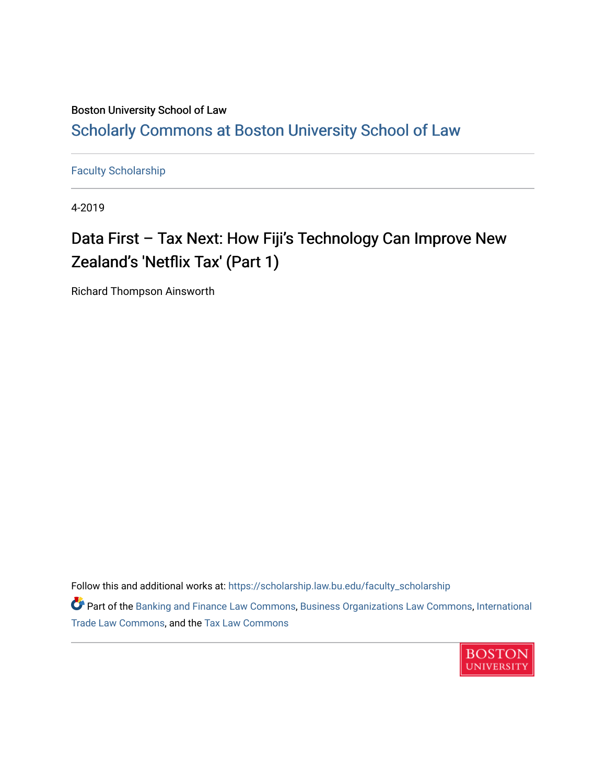# Boston University School of Law [Scholarly Commons at Boston University School of Law](https://scholarship.law.bu.edu/)

[Faculty Scholarship](https://scholarship.law.bu.edu/faculty_scholarship)

4-2019

# Data First - Tax Next: How Fiji's Technology Can Improve New Zealand's 'Netflix Tax' (Part 1)

Richard Thompson Ainsworth

Follow this and additional works at: [https://scholarship.law.bu.edu/faculty\\_scholarship](https://scholarship.law.bu.edu/faculty_scholarship?utm_source=scholarship.law.bu.edu%2Ffaculty_scholarship%2F1398&utm_medium=PDF&utm_campaign=PDFCoverPages)

Part of the [Banking and Finance Law Commons,](http://network.bepress.com/hgg/discipline/833?utm_source=scholarship.law.bu.edu%2Ffaculty_scholarship%2F1398&utm_medium=PDF&utm_campaign=PDFCoverPages) [Business Organizations Law Commons](http://network.bepress.com/hgg/discipline/900?utm_source=scholarship.law.bu.edu%2Ffaculty_scholarship%2F1398&utm_medium=PDF&utm_campaign=PDFCoverPages), [International](http://network.bepress.com/hgg/discipline/848?utm_source=scholarship.law.bu.edu%2Ffaculty_scholarship%2F1398&utm_medium=PDF&utm_campaign=PDFCoverPages)  [Trade Law Commons,](http://network.bepress.com/hgg/discipline/848?utm_source=scholarship.law.bu.edu%2Ffaculty_scholarship%2F1398&utm_medium=PDF&utm_campaign=PDFCoverPages) and the [Tax Law Commons](http://network.bepress.com/hgg/discipline/898?utm_source=scholarship.law.bu.edu%2Ffaculty_scholarship%2F1398&utm_medium=PDF&utm_campaign=PDFCoverPages) 

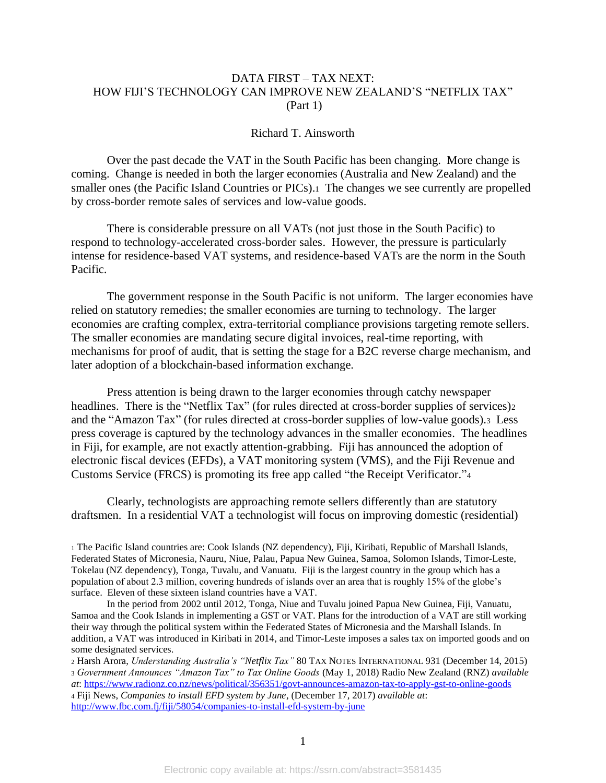# DATA FIRST – TAX NEXT: HOW FIJI'S TECHNOLOGY CAN IMPROVE NEW ZEALAND'S "NETFLIX TAX" (Part 1)

## Richard T. Ainsworth

Over the past decade the VAT in the South Pacific has been changing. More change is coming. Change is needed in both the larger economies (Australia and New Zealand) and the smaller ones (the Pacific Island Countries or PICs).1 The changes we see currently are propelled by cross-border remote sales of services and low-value goods.

There is considerable pressure on all VATs (not just those in the South Pacific) to respond to technology-accelerated cross-border sales. However, the pressure is particularly intense for residence-based VAT systems, and residence-based VATs are the norm in the South Pacific.

The government response in the South Pacific is not uniform. The larger economies have relied on statutory remedies; the smaller economies are turning to technology. The larger economies are crafting complex, extra-territorial compliance provisions targeting remote sellers. The smaller economies are mandating secure digital invoices, real-time reporting, with mechanisms for proof of audit, that is setting the stage for a B2C reverse charge mechanism, and later adoption of a blockchain-based information exchange.

Press attention is being drawn to the larger economies through catchy newspaper headlines. There is the "Netflix Tax" (for rules directed at cross-border supplies of services)2 and the "Amazon Tax" (for rules directed at cross-border supplies of low-value goods).3 Less press coverage is captured by the technology advances in the smaller economies. The headlines in Fiji, for example, are not exactly attention-grabbing. Fiji has announced the adoption of electronic fiscal devices (EFDs), a VAT monitoring system (VMS), and the Fiji Revenue and Customs Service (FRCS) is promoting its free app called "the Receipt Verificator."<sup>4</sup>

Clearly, technologists are approaching remote sellers differently than are statutory draftsmen. In a residential VAT a technologist will focus on improving domestic (residential)

<sup>1</sup> The Pacific Island countries are: Cook Islands (NZ dependency), Fiji, Kiribati, Republic of Marshall Islands, Federated States of Micronesia, Nauru, Niue, Palau, Papua New Guinea, Samoa, Solomon Islands, Timor-Leste, Tokelau (NZ dependency), Tonga, Tuvalu, and Vanuatu. Fiji is the largest country in the group which has a population of about 2.3 million, covering hundreds of islands over an area that is roughly 15% of the globe's surface. Eleven of these sixteen island countries have a VAT.

In the period from 2002 until 2012, Tonga, Niue and Tuvalu joined Papua New Guinea, Fiji, Vanuatu, Samoa and the Cook Islands in implementing a GST or VAT. Plans for the introduction of a VAT are still working their way through the political system within the Federated States of Micronesia and the Marshall Islands. In addition, a VAT was introduced in Kiribati in 2014, and Timor-Leste imposes a sales tax on imported goods and on some designated services.

<sup>2</sup> Harsh Arora, *Understanding Australia's "Netflix Tax"* 80 TAX NOTES INTERNATIONAL 931 (December 14, 2015) <sup>3</sup> *Government Announces "Amazon Tax" to Tax Online Goods* (May 1, 2018) Radio New Zealand (RNZ) *available* 

*at*:<https://www.radionz.co.nz/news/political/356351/govt-announces-amazon-tax-to-apply-gst-to-online-goods> <sup>4</sup> Fiji News, *Companies to install EFD system by June*, (December 17, 2017) *available at*: <http://www.fbc.com.fj/fiji/58054/companies-to-install-efd-system-by-june>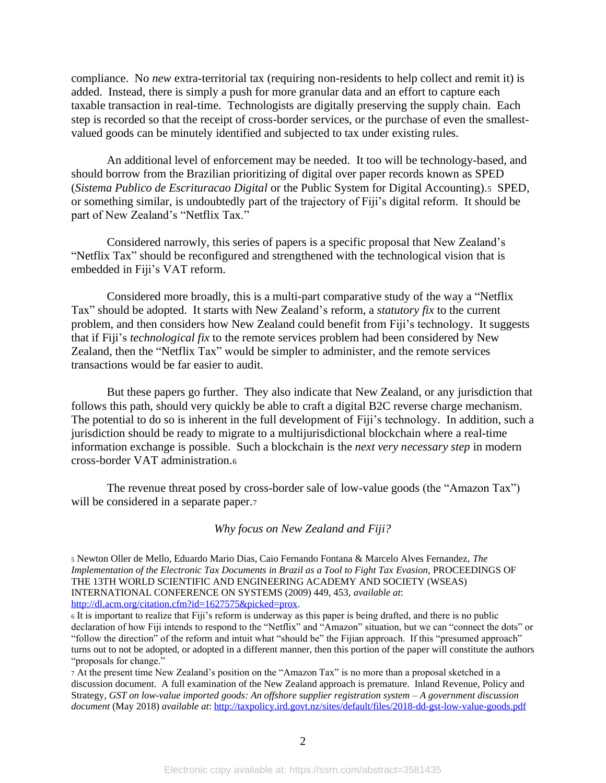compliance. No *new* extra-territorial tax (requiring non-residents to help collect and remit it) is added. Instead, there is simply a push for more granular data and an effort to capture each taxable transaction in real-time. Technologists are digitally preserving the supply chain. Each step is recorded so that the receipt of cross-border services, or the purchase of even the smallestvalued goods can be minutely identified and subjected to tax under existing rules.

An additional level of enforcement may be needed. It too will be technology-based, and should borrow from the Brazilian prioritizing of digital over paper records known as SPED (*Sistema Publico de Escrituracao Digital* or the Public System for Digital Accounting).5 SPED, or something similar, is undoubtedly part of the trajectory of Fiji's digital reform. It should be part of New Zealand's "Netflix Tax."

Considered narrowly, this series of papers is a specific proposal that New Zealand's "Netflix Tax" should be reconfigured and strengthened with the technological vision that is embedded in Fiji's VAT reform.

Considered more broadly, this is a multi-part comparative study of the way a "Netflix Tax" should be adopted. It starts with New Zealand's reform, a *statutory fix* to the current problem, and then considers how New Zealand could benefit from Fiji's technology. It suggests that if Fiji's *technological fix* to the remote services problem had been considered by New Zealand, then the "Netflix Tax" would be simpler to administer, and the remote services transactions would be far easier to audit.

But these papers go further. They also indicate that New Zealand, or any jurisdiction that follows this path, should very quickly be able to craft a digital B2C reverse charge mechanism. The potential to do so is inherent in the full development of Fiji's technology. In addition, such a jurisdiction should be ready to migrate to a multijurisdictional blockchain where a real-time information exchange is possible. Such a blockchain is the *next very necessary step* in modern cross-border VAT administration.<sup>6</sup>

The revenue threat posed by cross-border sale of low-value goods (the "Amazon Tax") will be considered in a separate paper.<sub>7</sub>

*Why focus on New Zealand and Fiji?*

<sup>5</sup> Newton Oller de Mello, Eduardo Mario Dias, Caio Fernando Fontana & Marcelo Alves Fernandez, *The Implementation of the Electronic Tax Documents in Brazil as a Tool to Fight Tax Evasion, PROCEEDINGS OF* THE 13TH WORLD SCIENTIFIC AND ENGINEERING ACADEMY AND SOCIETY (WSEAS) INTERNATIONAL CONFERENCE ON SYSTEMS (2009) 449, 453, *available at*: [http://dl.acm.org/citation.cfm?id=1627575&picked=prox.](http://dl.acm.org/citation.cfm?id=1627575&picked=prox)

<sup>6</sup> It is important to realize that Fiji's reform is underway as this paper is being drafted, and there is no public declaration of how Fiji intends to respond to the "Netflix" and "Amazon" situation, but we can "connect the dots" or "follow the direction" of the reform and intuit what "should be" the Fijian approach. If this "presumed approach" turns out to not be adopted, or adopted in a different manner, then this portion of the paper will constitute the authors "proposals for change."

<sup>7</sup> At the present time New Zealand's position on the "Amazon Tax" is no more than a proposal sketched in a discussion document. A full examination of the New Zealand approach is premature. Inland Revenue, Policy and Strategy, *GST on low-value imported goods: An offshore supplier registration system – A government discussion document* (May 2018) *available at*:<http://taxpolicy.ird.govt.nz/sites/default/files/2018-dd-gst-low-value-goods.pdf>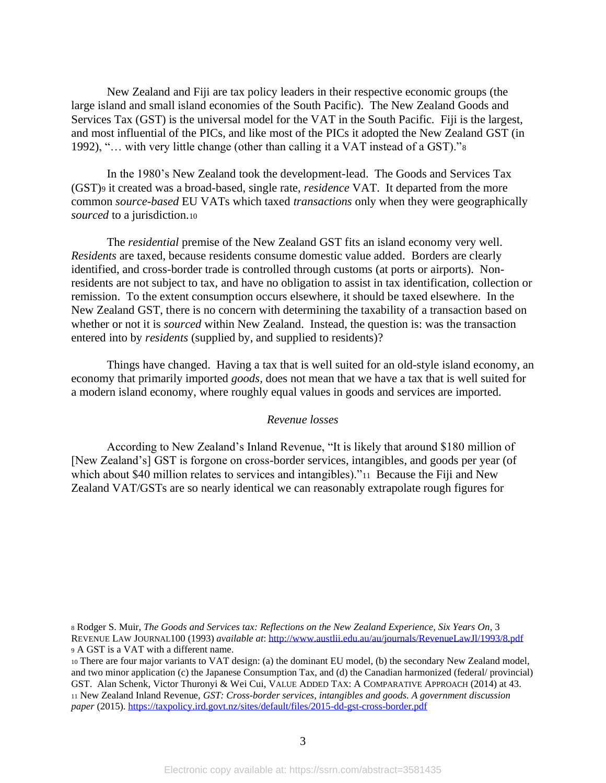New Zealand and Fiji are tax policy leaders in their respective economic groups (the large island and small island economies of the South Pacific). The New Zealand Goods and Services Tax (GST) is the universal model for the VAT in the South Pacific. Fiji is the largest, and most influential of the PICs, and like most of the PICs it adopted the New Zealand GST (in 1992), "… with very little change (other than calling it a VAT instead of a GST)."<sup>8</sup>

In the 1980's New Zealand took the development-lead. The Goods and Services Tax (GST)<sup>9</sup> it created was a broad-based, single rate, *residence* VAT. It departed from the more common *source-based* EU VATs which taxed *transactions* only when they were geographically *sourced* to a jurisdiction.<sup>10</sup>

The *residential* premise of the New Zealand GST fits an island economy very well. *Residents* are taxed, because residents consume domestic value added. Borders are clearly identified, and cross-border trade is controlled through customs (at ports or airports). Nonresidents are not subject to tax, and have no obligation to assist in tax identification, collection or remission. To the extent consumption occurs elsewhere, it should be taxed elsewhere. In the New Zealand GST, there is no concern with determining the taxability of a transaction based on whether or not it is *sourced* within New Zealand. Instead, the question is: was the transaction entered into by *residents* (supplied by, and supplied to residents)?

Things have changed. Having a tax that is well suited for an old-style island economy, an economy that primarily imported *goods,* does not mean that we have a tax that is well suited for a modern island economy, where roughly equal values in goods and services are imported.

# <span id="page-3-0"></span>*Revenue losses*

According to New Zealand's Inland Revenue, "It is likely that around \$180 million of [New Zealand's] GST is forgone on cross-border services, intangibles, and goods per year (of which about \$40 million relates to services and intangibles)."<sup>11</sup> Because the Fiji and New Zealand VAT/GSTs are so nearly identical we can reasonably extrapolate rough figures for

<sup>8</sup> Rodger S. Muir, *The Goods and Services tax: Reflections on the New Zealand Experience, Six Years On*, 3 REVENUE LAW JOURNAL100 (1993) *available at*:<http://www.austlii.edu.au/au/journals/RevenueLawJl/1993/8.pdf> <sup>9</sup> A GST is a VAT with a different name.

<sup>10</sup> There are four major variants to VAT design: (a) the dominant EU model, (b) the secondary New Zealand model, and two minor application (c) the Japanese Consumption Tax, and (d) the Canadian harmonized (federal/ provincial) GST. Alan Schenk, Victor Thuronyi & Wei Cui, VALUE ADDED TAX: A COMPARATIVE APPROACH (2014) at 43. <sup>11</sup> New Zealand Inland Revenue, *GST: Cross-border services, intangibles and goods. A government discussion paper* (2015). <https://taxpolicy.ird.govt.nz/sites/default/files/2015-dd-gst-cross-border.pdf>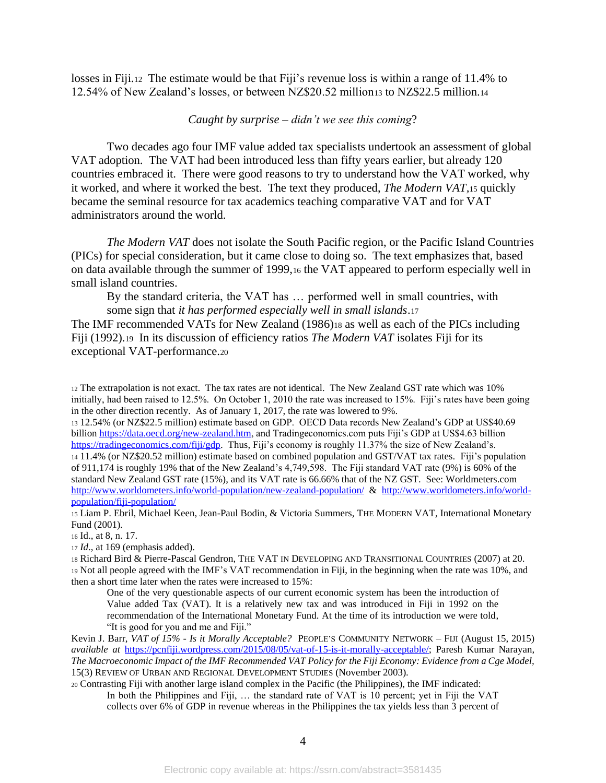losses in Fiji.12 The estimate would be that Fiji's revenue loss is within a range of 11.4% to 12.54% of New Zealand's losses, or between NZ\$20.52 million<sup>13</sup> to NZ\$22.5 million.<sup>14</sup>

# *Caught by surprise – didn't we see this coming*?

Two decades ago four IMF value added tax specialists undertook an assessment of global VAT adoption. The VAT had been introduced less than fifty years earlier, but already 120 countries embraced it. There were good reasons to try to understand how the VAT worked, why it worked, and where it worked the best. The text they produced, *The Modern VAT,*<sup>15</sup> quickly became the seminal resource for tax academics teaching comparative VAT and for VAT administrators around the world.

*The Modern VAT* does not isolate the South Pacific region, or the Pacific Island Countries (PICs) for special consideration, but it came close to doing so. The text emphasizes that, based on data available through the summer of 1999,<sup>16</sup> the VAT appeared to perform especially well in small island countries.

By the standard criteria, the VAT has … performed well in small countries, with some sign that *it has performed especially well in small islands*.<sup>17</sup>

The IMF recommended VATs for New Zealand (1986)<sup>18</sup> as well as each of the PICs including Fiji (1992).19 In its discussion of efficiency ratios *The Modern VAT* isolates Fiji for its exceptional VAT-performance.<sup>20</sup>

<sup>12</sup> The extrapolation is not exact. The tax rates are not identical. The New Zealand GST rate which was 10% initially, had been raised to 12.5%. On October 1, 2010 the rate was increased to 15%. Fiji's rates have been going in the other direction recently. As of January 1, 2017, the rate was lowered to 9%.

<sup>13</sup> 12.54% (or NZ\$22.5 million) estimate based on GDP. OECD Data records New Zealand's GDP at US\$40.69 billio[n https://data.oecd.org/new-zealand.htm,](https://data.oecd.org/new-zealand.htm) and Tradingeconomics.com puts Fiji's GDP at US\$4.63 billion [https://tradingeconomics.com/fiji/gdp.](https://tradingeconomics.com/fiji/gdp) Thus, Fiji's economy is roughly 11.37% the size of New Zealand's. <sup>14</sup> 11.4% (or NZ\$20.52 million) estimate based on combined population and GST/VAT tax rates. Fiji's population of 911,174 is roughly 19% that of the New Zealand's 4,749,598. The Fiji standard VAT rate (9%) is 60% of the standard New Zealand GST rate (15%), and its VAT rate is 66.66% that of the NZ GST. See: Worldmeters.com <http://www.worldometers.info/world-population/new-zealand-population/>& [http://www.worldometers.info/world](http://www.worldometers.info/world-population/fiji-population/)[population/fiji-population/](http://www.worldometers.info/world-population/fiji-population/)

<sup>15</sup> Liam P. Ebril, Michael Keen, Jean-Paul Bodin, & Victoria Summers, THE MODERN VAT*,* International Monetary Fund (2001).

<sup>16</sup> Id., at 8, n. 17.

<sup>17</sup> *Id*., at 169 (emphasis added).

<sup>18</sup> Richard Bird & Pierre-Pascal Gendron, THE VAT IN DEVELOPING AND TRANSITIONAL COUNTRIES (2007) at 20. <sup>19</sup> Not all people agreed with the IMF's VAT recommendation in Fiji, in the beginning when the rate was 10%, and then a short time later when the rates were increased to 15%:

One of the very questionable aspects of our current economic system has been the introduction of Value added Tax (VAT). It is a relatively new tax and was introduced in Fiji in 1992 on the recommendation of the International Monetary Fund. At the time of its introduction we were told, "It is good for you and me and Fiji."

Kevin J. Barr, *VAT of 15% - Is it Morally Acceptable?* PEOPLE'S COMMUNITY NETWORK – FIJI (August 15, 2015) *available at* [https://pcnfiji.wordpress.com/2015/08/05/vat-of-15-is-it-morally-acceptable/;](https://pcnfiji.wordpress.com/2015/08/05/vat-of-15-is-it-morally-acceptable/) Paresh Kumar Narayan, *The Macroeconomic Impact of the IMF Recommended VAT Policy for the Fiji Economy: Evidence from a Cge Model,* 15(3) REVIEW OF URBAN AND REGIONAL DEVELOPMENT STUDIES (November 2003).

<sup>20</sup> Contrasting Fiji with another large island complex in the Pacific (the Philippines), the IMF indicated: In both the Philippines and Fiji, … the standard rate of VAT is 10 percent; yet in Fiji the VAT collects over 6% of GDP in revenue whereas in the Philippines the tax yields less than 3 percent of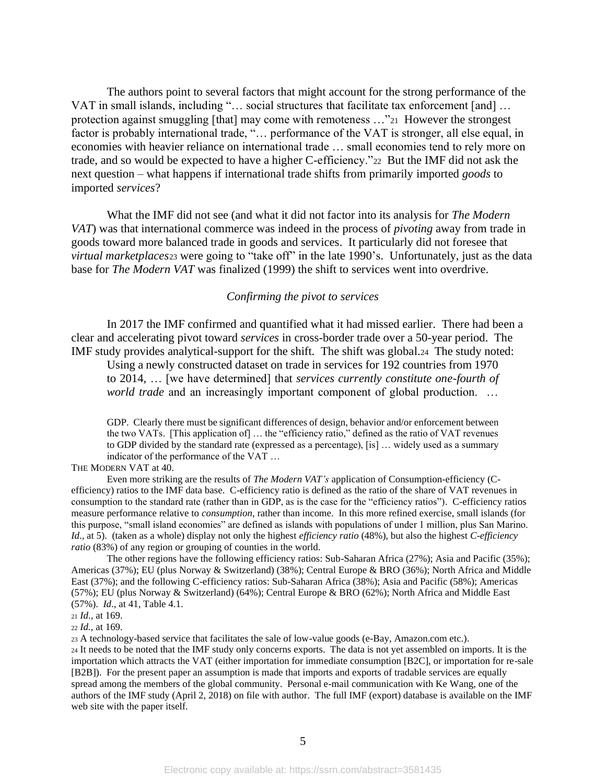The authors point to several factors that might account for the strong performance of the VAT in small islands, including "… social structures that facilitate tax enforcement [and] … protection against smuggling [that] may come with remoteness …"21 However the strongest factor is probably international trade, "… performance of the VAT is stronger, all else equal, in economies with heavier reliance on international trade … small economies tend to rely more on trade, and so would be expected to have a higher C-efficiency."22 But the IMF did not ask the next question – what happens if international trade shifts from primarily imported *goods* to imported *services*?

What the IMF did not see (and what it did not factor into its analysis for *The Modern VAT*) was that international commerce was indeed in the process of *pivoting* away from trade in goods toward more balanced trade in goods and services. It particularly did not foresee that *virtual marketplaces*<sup>23</sup> were going to "take off" in the late 1990's. Unfortunately, just as the data base for *The Modern VAT* was finalized (1999) the shift to services went into overdrive.

#### *Confirming the pivot to services*

In 2017 the IMF confirmed and quantified what it had missed earlier. There had been a clear and accelerating pivot toward *services* in cross-border trade over a 50-year period. The IMF study provides analytical-support for the shift. The shift was global.24 The study noted:

Using a newly constructed dataset on trade in services for 192 countries from 1970 to 2014, … [we have determined] that *services currently constitute one-fourth of world trade* and an increasingly important component of global production. ...

GDP. Clearly there must be significant differences of design, behavior and/or enforcement between the two VATs. [This application of] … the "efficiency ratio," defined as the ratio of VAT revenues to GDP divided by the standard rate (expressed as a percentage), [is] … widely used as a summary indicator of the performance of the VAT …

THE MODERN VAT at 40.

Even more striking are the results of *The Modern VAT's* application of Consumption-efficiency (Cefficiency) ratios to the IMF data base. C-efficiency ratio is defined as the ratio of the share of VAT revenues in consumption to the standard rate (rather than in GDP, as is the case for the "efficiency ratios"). C-efficiency ratios measure performance relative to *consumption*, rather than income. In this more refined exercise, small islands (for this purpose, "small island economies" are defined as islands with populations of under 1 million, plus San Marino. *Id*., at 5). (taken as a whole) display not only the highest *efficiency ratio* (48%), but also the highest *C-efficiency ratio* (83%) of any region or grouping of counties in the world.

The other regions have the following efficiency ratios: Sub-Saharan Africa (27%); Asia and Pacific (35%); Americas (37%); EU (plus Norway & Switzerland) (38%); Central Europe & BRO (36%); North Africa and Middle East (37%); and the following C-efficiency ratios: Sub-Saharan Africa (38%); Asia and Pacific (58%); Americas (57%); EU (plus Norway & Switzerland) (64%); Central Europe & BRO (62%); North Africa and Middle East (57%). *Id*., at 41, Table 4.1.

<sup>22</sup> *Id.*, at 169.

<sup>23</sup> A technology-based service that facilitates the sale of low-value goods (e-Bay, Amazon.com etc.).

<sup>24</sup> It needs to be noted that the IMF study only concerns exports. The data is not yet assembled on imports. It is the importation which attracts the VAT (either importation for immediate consumption [B2C], or importation for re-sale [B2B]). For the present paper an assumption is made that imports and exports of tradable services are equally spread among the members of the global community. Personal e-mail communication with Ke Wang, one of the authors of the IMF study (April 2, 2018) on file with author. The full IMF (export) database is available on the IMF web site with the paper itself.

<sup>21</sup> *Id*., at 169.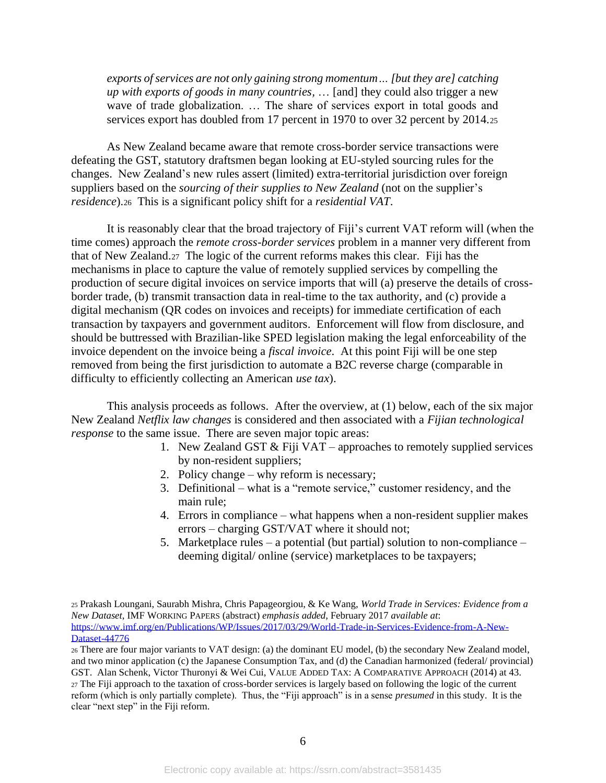*exports of services are not only gaining strong momentum… [but they are] catching up with exports of goods in many countries,* … [and] they could also trigger a new wave of trade globalization. ... The share of services export in total goods and services export has doubled from 17 percent in 1970 to over 32 percent by 2014.25

As New Zealand became aware that remote cross-border service transactions were defeating the GST, statutory draftsmen began looking at EU-styled sourcing rules for the changes. New Zealand's new rules assert (limited) extra-territorial jurisdiction over foreign suppliers based on the *sourcing of their supplies to New Zealand* (not on the supplier's *residence*).<sup>26</sup> This is a significant policy shift for a *residential VAT*.

It is reasonably clear that the broad trajectory of Fiji's current VAT reform will (when the time comes) approach the *remote cross-border services* problem in a manner very different from that of New Zealand.27 The logic of the current reforms makes this clear. Fiji has the mechanisms in place to capture the value of remotely supplied services by compelling the production of secure digital invoices on service imports that will (a) preserve the details of crossborder trade, (b) transmit transaction data in real-time to the tax authority, and (c) provide a digital mechanism (QR codes on invoices and receipts) for immediate certification of each transaction by taxpayers and government auditors. Enforcement will flow from disclosure, and should be buttressed with Brazilian-like SPED legislation making the legal enforceability of the invoice dependent on the invoice being a *fiscal invoice*. At this point Fiji will be one step removed from being the first jurisdiction to automate a B2C reverse charge (comparable in difficulty to efficiently collecting an American *use tax*).

This analysis proceeds as follows. After the overview, at (1) below, each of the six major New Zealand *Netflix law changes* is considered and then associated with a *Fijian technological response* to the same issue. There are seven major topic areas:

- 1. New Zealand GST  $&$  Fiji VAT approaches to remotely supplied services by non-resident suppliers;
- 2. Policy change why reform is necessary;
- 3. Definitional what is a "remote service," customer residency, and the main rule;
- 4. Errors in compliance what happens when a non-resident supplier makes errors – charging GST/VAT where it should not;
- 5. Marketplace rules a potential (but partial) solution to non-compliance deeming digital/ online (service) marketplaces to be taxpayers;

<sup>26</sup> There are four major variants to VAT design: (a) the dominant EU model, (b) the secondary New Zealand model, and two minor application (c) the Japanese Consumption Tax, and (d) the Canadian harmonized (federal/ provincial) GST. Alan Schenk, Victor Thuronyi & Wei Cui, VALUE ADDED TAX: A COMPARATIVE APPROACH (2014) at 43. <sup>27</sup> The Fiji approach to the taxation of cross-border services is largely based on following the logic of the current reform (which is only partially complete). Thus, the "Fiji approach" is in a sense *presumed* in this study. It is the clear "next step" in the Fiji reform.

<sup>25</sup> Prakash Loungani, Saurabh Mishra, Chris Papageorgiou, & Ke Wang, *World Trade in Services: Evidence from a New Dataset*, IMF WORKING PAPERS (abstract) *emphasis added*, February 2017 *available at*: [https://www.imf.org/en/Publications/WP/Issues/2017/03/29/World-Trade-in-Services-Evidence-from-A-New-](https://www.imf.org/en/Publications/WP/Issues/2017/03/29/World-Trade-in-Services-Evidence-from-A-New-Dataset-44776)[Dataset-44776](https://www.imf.org/en/Publications/WP/Issues/2017/03/29/World-Trade-in-Services-Evidence-from-A-New-Dataset-44776)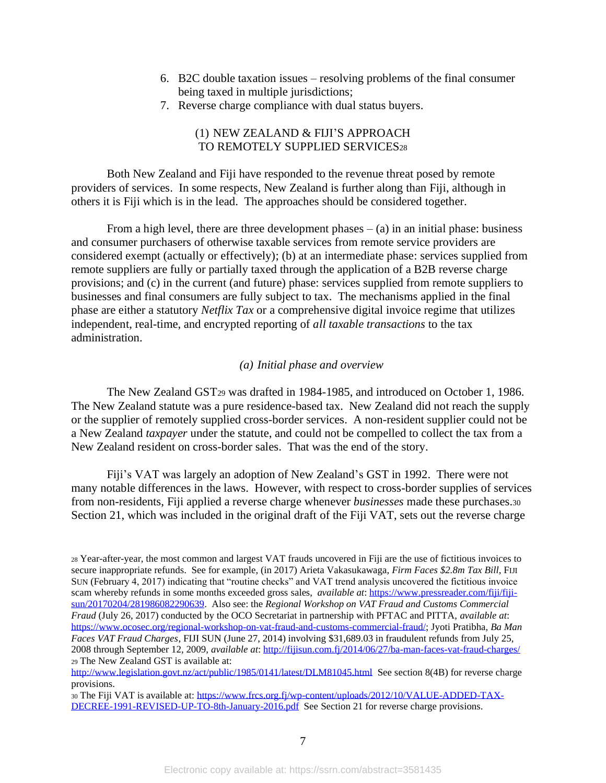- 6. B2C double taxation issues resolving problems of the final consumer being taxed in multiple jurisdictions;
- 7. Reverse charge compliance with dual status buyers.

# (1) NEW ZEALAND & FIJI'S APPROACH TO REMOTELY SUPPLIED SERVICES28

Both New Zealand and Fiji have responded to the revenue threat posed by remote providers of services. In some respects, New Zealand is further along than Fiji, although in others it is Fiji which is in the lead. The approaches should be considered together.

From a high level, there are three development phases  $-$  (a) in an initial phase: business and consumer purchasers of otherwise taxable services from remote service providers are considered exempt (actually or effectively); (b) at an intermediate phase: services supplied from remote suppliers are fully or partially taxed through the application of a B2B reverse charge provisions; and (c) in the current (and future) phase: services supplied from remote suppliers to businesses and final consumers are fully subject to tax. The mechanisms applied in the final phase are either a statutory *Netflix Tax* or a comprehensive digital invoice regime that utilizes independent, real-time, and encrypted reporting of *all taxable transactions* to the tax administration.

# *(a) Initial phase and overview*

The New Zealand GST<sup>29</sup> was drafted in 1984-1985, and introduced on October 1, 1986. The New Zealand statute was a pure residence-based tax. New Zealand did not reach the supply or the supplier of remotely supplied cross-border services. A non-resident supplier could not be a New Zealand *taxpayer* under the statute, and could not be compelled to collect the tax from a New Zealand resident on cross-border sales. That was the end of the story.

Fiji's VAT was largely an adoption of New Zealand's GST in 1992. There were not many notable differences in the laws. However, with respect to cross-border supplies of services from non-residents, Fiji applied a reverse charge whenever *businesses* made these purchases.<sup>30</sup> Section 21, which was included in the original draft of the Fiji VAT, sets out the reverse charge

<sup>28</sup> Year-after-year, the most common and largest VAT frauds uncovered in Fiji are the use of fictitious invoices to secure inappropriate refunds. See for example, (in 2017) Arieta Vakasukawaga, *Firm Faces \$2.8m Tax Bill*, FIJI SUN (February 4, 2017) indicating that "routine checks" and VAT trend analysis uncovered the fictitious invoice scam whereby refunds in some months exceeded gross sales, *available at*: [https://www.pressreader.com/fiji/fiji](https://www.pressreader.com/fiji/fiji-sun/20170204/281986082290639)[sun/20170204/281986082290639.](https://www.pressreader.com/fiji/fiji-sun/20170204/281986082290639) Also see: the *Regional Workshop on VAT Fraud and Customs Commercial Fraud* (July 26, 2017) conducted by the OCO Secretariat in partnership with PFTAC and PITTA, *available at*: [https://www.ocosec.org/regional-workshop-on-vat-fraud-and-customs-commercial-fraud/;](https://www.ocosec.org/regional-workshop-on-vat-fraud-and-customs-commercial-fraud/) Jyoti Pratibha, *Ba Man Faces VAT Fraud Charges*, FIJI SUN (June 27, 2014) involving \$31,689.03 in fraudulent refunds from July 25, 2008 through September 12, 2009, *available at*:<http://fijisun.com.fj/2014/06/27/ba-man-faces-vat-fraud-charges/> <sup>29</sup> The New Zealand GST is available at:

<http://www.legislation.govt.nz/act/public/1985/0141/latest/DLM81045.html>See section 8(4B) for reverse charge provisions.

<sup>30</sup> The Fiji VAT is available at: [https://www.frcs.org.fj/wp-content/uploads/2012/10/VALUE-ADDED-TAX-](https://www.frcs.org.fj/wp-content/uploads/2012/10/VALUE-ADDED-TAX-DECREE-1991-REVISED-UP-TO-8th-January-2016.pdf)[DECREE-1991-REVISED-UP-TO-8th-January-2016.pdf](https://www.frcs.org.fj/wp-content/uploads/2012/10/VALUE-ADDED-TAX-DECREE-1991-REVISED-UP-TO-8th-January-2016.pdf) See Section 21 for reverse charge provisions.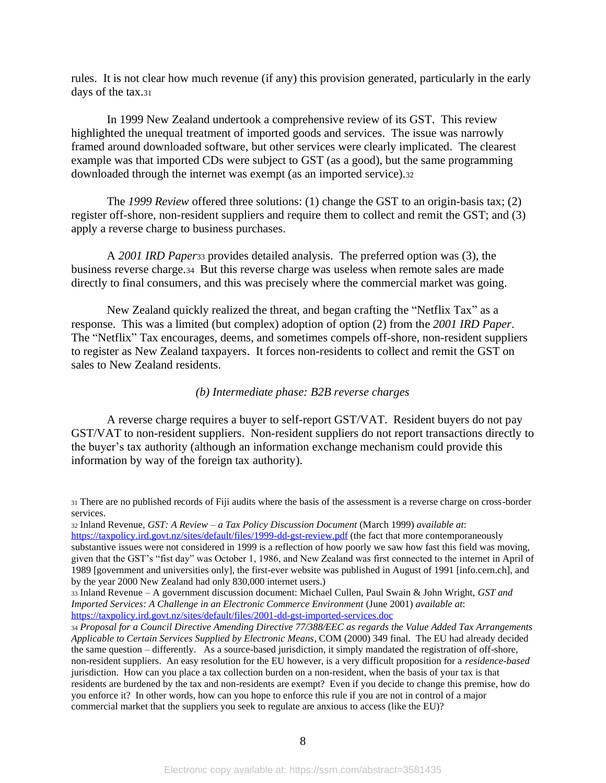rules. It is not clear how much revenue (if any) this provision generated, particularly in the early days of the tax.<sup>31</sup>

In 1999 New Zealand undertook a comprehensive review of its GST. This review highlighted the unequal treatment of imported goods and services. The issue was narrowly framed around downloaded software, but other services were clearly implicated. The clearest example was that imported CDs were subject to GST (as a good), but the same programming downloaded through the internet was exempt (as an imported service).<sup>32</sup>

The *1999 Review* offered three solutions: (1) change the GST to an origin-basis tax; (2) register off-shore, non-resident suppliers and require them to collect and remit the GST; and (3) apply a reverse charge to business purchases.

A *2001 IRD Paper*<sup>33</sup> provides detailed analysis. The preferred option was (3), the business reverse charge.34 But this reverse charge was useless when remote sales are made directly to final consumers, and this was precisely where the commercial market was going.

New Zealand quickly realized the threat, and began crafting the "Netflix Tax" as a response. This was a limited (but complex) adoption of option (2) from the *2001 IRD Paper*. The "Netflix" Tax encourages, deems, and sometimes compels off-shore, non-resident suppliers to register as New Zealand taxpayers. It forces non-residents to collect and remit the GST on sales to New Zealand residents.

# *(b) Intermediate phase: B2B reverse charges*

A reverse charge requires a buyer to self-report GST/VAT. Resident buyers do not pay GST/VAT to non-resident suppliers. Non-resident suppliers do not report transactions directly to the buyer's tax authority (although an information exchange mechanism could provide this information by way of the foreign tax authority).

<sup>31</sup> There are no published records of Fiji audits where the basis of the assessment is a reverse charge on cross-border services.

<sup>32</sup> Inland Revenue, *GST: A Review* – *a Tax Policy Discussion Document* (March 1999) *available at*:

<https://taxpolicy.ird.govt.nz/sites/default/files/1999-dd-gst-review.pdf> (the fact that more contemporaneously substantive issues were not considered in 1999 is a reflection of how poorly we saw how fast this field was moving, given that the GST's "fist day" was October 1, 1986, and New Zealand was first connected to the internet in April of 1989 [government and universities only], the first-ever website was published in August of 1991 [info.cern.ch], and by the year 2000 New Zealand had only 830,000 internet users.)

<sup>33</sup> Inland Revenue – A government discussion document: Michael Cullen, Paul Swain & John Wright, *GST and Imported Services: A Challenge in an Electronic Commerce Environment* (June 2001) *available at*: <https://taxpolicy.ird.govt.nz/sites/default/files/2001-dd-gst-imported-services.doc>

<sup>34</sup> *Proposal for a Council Directive Amending Directive 77/388/EEC as regards the Value Added Tax Arrangements Applicable to Certain Services Supplied by Electronic Means*, COM (2000) 349 final. The EU had already decided the same question – differently. As a source-based jurisdiction, it simply mandated the registration of off-shore, non-resident suppliers. An easy resolution for the EU however, is a very difficult proposition for a *residence-based* jurisdiction. How can you place a tax collection burden on a non-resident, when the basis of your tax is that residents are burdened by the tax and non-residents are exempt? Even if you decide to change this premise, how do you enforce it? In other words, how can you hope to enforce this rule if you are not in control of a major commercial market that the suppliers you seek to regulate are anxious to access (like the EU)?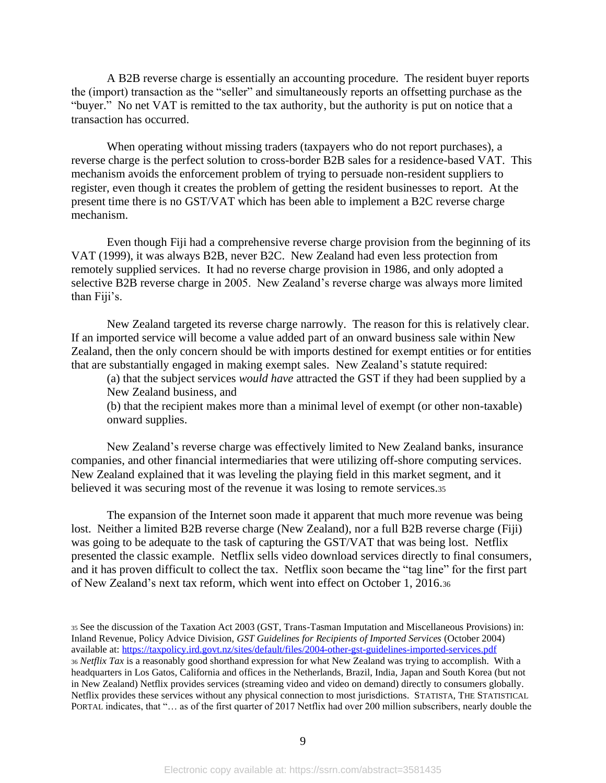A B2B reverse charge is essentially an accounting procedure. The resident buyer reports the (import) transaction as the "seller" and simultaneously reports an offsetting purchase as the "buyer." No net VAT is remitted to the tax authority, but the authority is put on notice that a transaction has occurred.

When operating without missing traders (taxpayers who do not report purchases), a reverse charge is the perfect solution to cross-border B2B sales for a residence-based VAT. This mechanism avoids the enforcement problem of trying to persuade non-resident suppliers to register, even though it creates the problem of getting the resident businesses to report. At the present time there is no GST/VAT which has been able to implement a B2C reverse charge mechanism.

Even though Fiji had a comprehensive reverse charge provision from the beginning of its VAT (1999), it was always B2B, never B2C. New Zealand had even less protection from remotely supplied services. It had no reverse charge provision in 1986, and only adopted a selective B2B reverse charge in 2005. New Zealand's reverse charge was always more limited than Fiji's.

New Zealand targeted its reverse charge narrowly. The reason for this is relatively clear. If an imported service will become a value added part of an onward business sale within New Zealand, then the only concern should be with imports destined for exempt entities or for entities that are substantially engaged in making exempt sales. New Zealand's statute required:

(a) that the subject services *would have* attracted the GST if they had been supplied by a New Zealand business, and

(b) that the recipient makes more than a minimal level of exempt (or other non-taxable) onward supplies.

New Zealand's reverse charge was effectively limited to New Zealand banks, insurance companies, and other financial intermediaries that were utilizing off-shore computing services. New Zealand explained that it was leveling the playing field in this market segment, and it believed it was securing most of the revenue it was losing to remote services.<sup>35</sup>

The expansion of the Internet soon made it apparent that much more revenue was being lost. Neither a limited B2B reverse charge (New Zealand), nor a full B2B reverse charge (Fiji) was going to be adequate to the task of capturing the GST/VAT that was being lost. Netflix presented the classic example. Netflix sells video download services directly to final consumers, and it has proven difficult to collect the tax. Netflix soon became the "tag line" for the first part of New Zealand's next tax reform, which went into effect on October 1, 2016.<sup>36</sup>

<sup>35</sup> See the discussion of the Taxation Act 2003 (GST, Trans-Tasman Imputation and Miscellaneous Provisions) in: Inland Revenue, Policy Advice Division, *GST Guidelines for Recipients of Imported Services* (October 2004) available at:<https://taxpolicy.ird.govt.nz/sites/default/files/2004-other-gst-guidelines-imported-services.pdf> <sup>36</sup> *Netflix Tax* is a reasonably good shorthand expression for what New Zealand was trying to accomplish. With a headquarters in Los Gatos, California and offices in the Netherlands, Brazil, India, Japan and South Korea (but not in New Zealand) Netflix provides services (streaming video and video on demand) directly to consumers globally. Netflix provides these services without any physical connection to most jurisdictions. STATISTA, THE STATISTICAL PORTAL indicates, that "… as of the first quarter of 2017 Netflix had over 200 million subscribers, nearly double the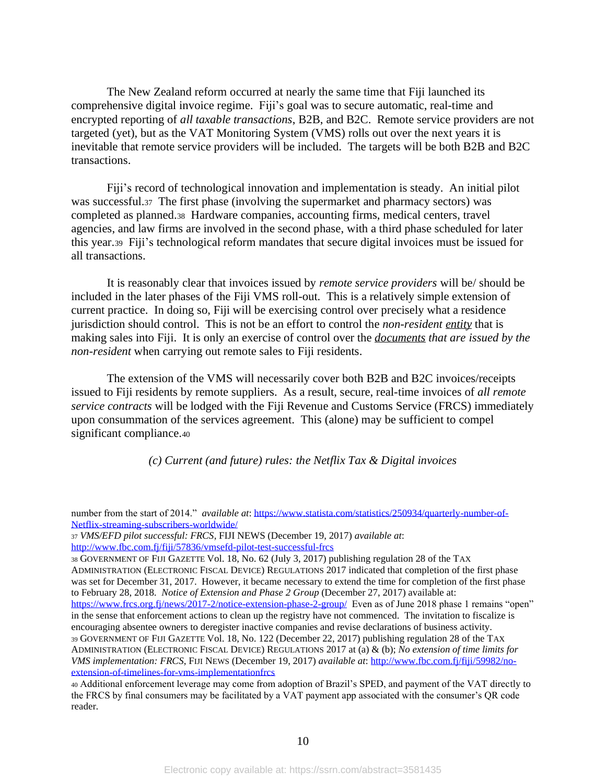The New Zealand reform occurred at nearly the same time that Fiji launched its comprehensive digital invoice regime. Fiji's goal was to secure automatic, real-time and encrypted reporting of *all taxable transactions*, B2B, and B2C. Remote service providers are not targeted (yet), but as the VAT Monitoring System (VMS) rolls out over the next years it is inevitable that remote service providers will be included. The targets will be both B2B and B2C transactions.

Fiji's record of technological innovation and implementation is steady. An initial pilot was successful.37 The first phase (involving the supermarket and pharmacy sectors) was completed as planned.38 Hardware companies, accounting firms, medical centers, travel agencies, and law firms are involved in the second phase, with a third phase scheduled for later this year.<sup>39</sup> Fiji's technological reform mandates that secure digital invoices must be issued for all transactions.

It is reasonably clear that invoices issued by *remote service providers* will be/ should be included in the later phases of the Fiji VMS roll-out. This is a relatively simple extension of current practice. In doing so, Fiji will be exercising control over precisely what a residence jurisdiction should control. This is not be an effort to control the *non-resident entity* that is making sales into Fiji. It is only an exercise of control over the *documents that are issued by the non-resident* when carrying out remote sales to Fiji residents.

The extension of the VMS will necessarily cover both B2B and B2C invoices/receipts issued to Fiji residents by remote suppliers. As a result, secure, real-time invoices of *all remote service contracts* will be lodged with the Fiji Revenue and Customs Service (FRCS) immediately upon consummation of the services agreement. This (alone) may be sufficient to compel significant compliance.<sup>40</sup>

*(c) Current (and future) rules: the Netflix Tax & Digital invoices*

<sup>37</sup> *VMS/EFD pilot successful: FRCS*, FIJI NEWS (December 19, 2017) *available at*: <http://www.fbc.com.fj/fiji/57836/vmsefd-pilot-test-successful-frcs>

<sup>38</sup> GOVERNMENT OF FIJI GAZETTE Vol. 18, No. 62 (July 3, 2017) publishing regulation 28 of the TAX ADMINISTRATION (ELECTRONIC FISCAL DEVICE) REGULATIONS 2017 indicated that completion of the first phase was set for December 31, 2017. However, it became necessary to extend the time for completion of the first phase to February 28, 2018. *Notice of Extension and Phase 2 Group* (December 27, 2017) available at: <https://www.frcs.org.fj/news/2017-2/notice-extension-phase-2-group/> Even as of June 2018 phase 1 remains "open" in the sense that enforcement actions to clean up the registry have not commenced. The invitation to fiscalize is encouraging absentee owners to deregister inactive companies and revise declarations of business activity. <sup>39</sup> GOVERNMENT OF FIJI GAZETTE Vol. 18, No. 122 (December 22, 2017) publishing regulation 28 of the TAX ADMINISTRATION (ELECTRONIC FISCAL DEVICE) REGULATIONS 2017 at (a) & (b); *No extension of time limits for VMS implementation: FRCS*, FIJI NEWS (December 19, 2017) *available at*[: http://www.fbc.com.fj/fiji/59982/no](http://www.fbc.com.fj/fiji/59982/no-extension-of-timelines-for-vms-implementationfrcs)[extension-of-timelines-for-vms-implementationfrcs](http://www.fbc.com.fj/fiji/59982/no-extension-of-timelines-for-vms-implementationfrcs)

<sup>40</sup> Additional enforcement leverage may come from adoption of Brazil's SPED, and payment of the VAT directly to the FRCS by final consumers may be facilitated by a VAT payment app associated with the consumer's QR code reader.

number from the start of 2014." *available at*: [https://www.statista.com/statistics/250934/quarterly-number-of-](https://www.statista.com/statistics/250934/quarterly-number-of-netflix-streaming-subscribers-worldwide/)[Netflix-streaming-subscribers-worldwide/](https://www.statista.com/statistics/250934/quarterly-number-of-netflix-streaming-subscribers-worldwide/)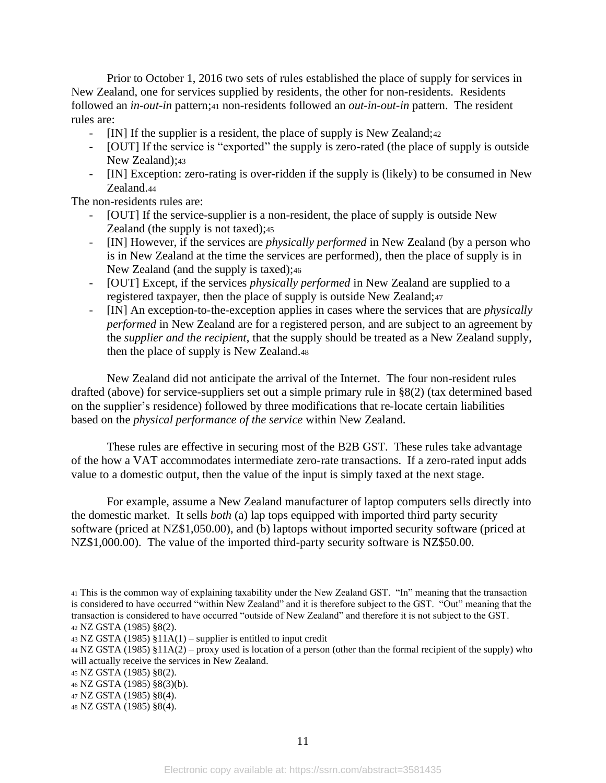Prior to October 1, 2016 two sets of rules established the place of supply for services in New Zealand, one for services supplied by residents, the other for non-residents. Residents followed an *in-out-in* pattern;<sup>41</sup> non-residents followed an *out-in-out-in* pattern. The resident rules are:

- [IN] If the supplier is a resident, the place of supply is New Zealand;42
- [OUT] If the service is "exported" the supply is zero-rated (the place of supply is outside New Zealand);43
- [IN] Exception: zero-rating is over-ridden if the supply is (likely) to be consumed in New Zealand.<sup>44</sup>

The non-residents rules are:

- [OUT] If the service-supplier is a non-resident, the place of supply is outside New Zealand (the supply is not taxed);<sup>45</sup>
- [IN] However, if the services are *physically performed* in New Zealand (by a person who is in New Zealand at the time the services are performed), then the place of supply is in New Zealand (and the supply is taxed);<sup>46</sup>
- [OUT] Except, if the services *physically performed* in New Zealand are supplied to a registered taxpayer, then the place of supply is outside New Zealand;<sup>47</sup>
- [IN] An exception-to-the-exception applies in cases where the services that are *physically performed* in New Zealand are for a registered person, and are subject to an agreement by the *supplier and the recipient*, that the supply should be treated as a New Zealand supply, then the place of supply is New Zealand.<sup>48</sup>

New Zealand did not anticipate the arrival of the Internet. The four non-resident rules drafted (above) for service-suppliers set out a simple primary rule in §8(2) (tax determined based on the supplier's residence) followed by three modifications that re-locate certain liabilities based on the *physical performance of the service* within New Zealand.

These rules are effective in securing most of the B2B GST. These rules take advantage of the how a VAT accommodates intermediate zero-rate transactions. If a zero-rated input adds value to a domestic output, then the value of the input is simply taxed at the next stage.

For example, assume a New Zealand manufacturer of laptop computers sells directly into the domestic market. It sells *both* (a) lap tops equipped with imported third party security software (priced at NZ\$1,050.00), and (b) laptops without imported security software (priced at NZ\$1,000.00). The value of the imported third-party security software is NZ\$50.00.

<sup>41</sup> This is the common way of explaining taxability under the New Zealand GST. "In" meaning that the transaction is considered to have occurred "within New Zealand" and it is therefore subject to the GST. "Out" meaning that the transaction is considered to have occurred "outside of New Zealand" and therefore it is not subject to the GST. <sup>42</sup> NZ GSTA (1985) §8(2).

 $43$  NZ GSTA (1985) §11A(1) – supplier is entitled to input credit

<sup>44</sup> NZ GSTA (1985) §11A(2) – proxy used is location of a person (other than the formal recipient of the supply) who will actually receive the services in New Zealand.

<sup>45</sup> NZ GSTA (1985) §8(2).

<sup>46</sup> NZ GSTA (1985) §8(3)(b).

<sup>47</sup> NZ GSTA (1985) §8(4).

<sup>48</sup> NZ GSTA (1985) §8(4).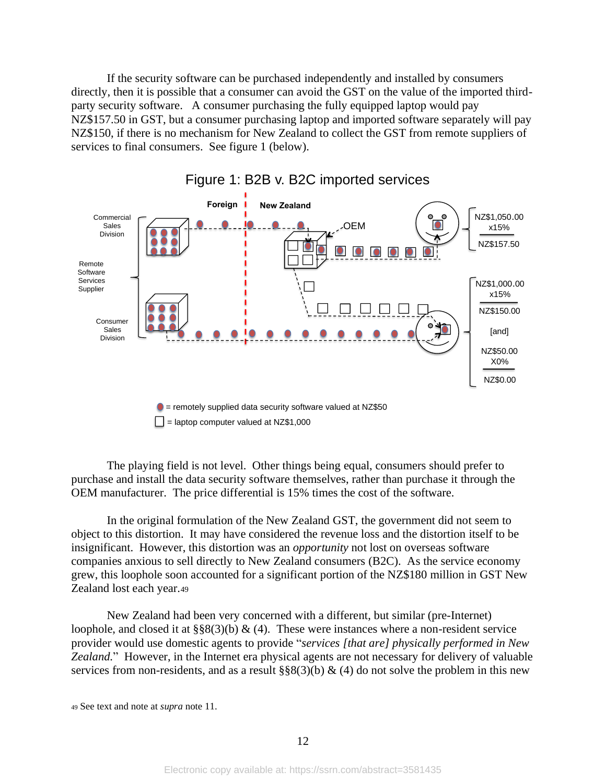If the security software can be purchased independently and installed by consumers directly, then it is possible that a consumer can avoid the GST on the value of the imported thirdparty security software. A consumer purchasing the fully equipped laptop would pay NZ\$157.50 in GST, but a consumer purchasing laptop and imported software separately will pay NZ\$150, if there is no mechanism for New Zealand to collect the GST from remote suppliers of services to final consumers. See figure 1 (below).



Figure 1: B2B v. B2C imported services

The playing field is not level. Other things being equal, consumers should prefer to purchase and install the data security software themselves, rather than purchase it through the OEM manufacturer. The price differential is 15% times the cost of the software.

In the original formulation of the New Zealand GST, the government did not seem to object to this distortion. It may have considered the revenue loss and the distortion itself to be insignificant. However, this distortion was an *opportunity* not lost on overseas software companies anxious to sell directly to New Zealand consumers (B2C). As the service economy grew, this loophole soon accounted for a significant portion of the NZ\$180 million in GST New Zealand lost each year.<sup>49</sup>

New Zealand had been very concerned with a different, but similar (pre-Internet) loophole, and closed it at  $\S\S8(3)(b) \& (4)$ . These were instances where a non-resident service provider would use domestic agents to provide "*services [that are] physically performed in New Zealand.*" However, in the Internet era physical agents are not necessary for delivery of valuable services from non-residents, and as a result  $\S$ §8(3)(b) & (4) do not solve the problem in this new

<sup>49</sup> See text and note at *supra* note [11.](#page-3-0)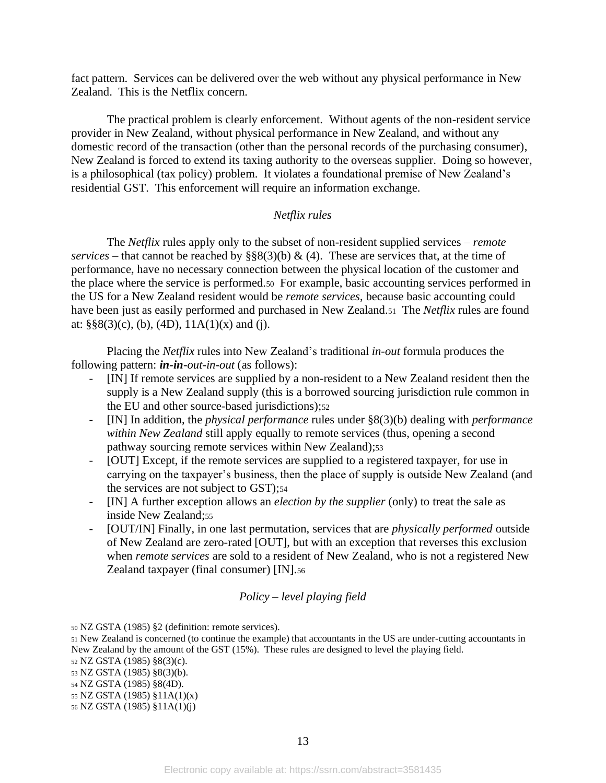fact pattern. Services can be delivered over the web without any physical performance in New Zealand. This is the Netflix concern.

The practical problem is clearly enforcement. Without agents of the non-resident service provider in New Zealand, without physical performance in New Zealand, and without any domestic record of the transaction (other than the personal records of the purchasing consumer), New Zealand is forced to extend its taxing authority to the overseas supplier. Doing so however, is a philosophical (tax policy) problem. It violates a foundational premise of New Zealand's residential GST. This enforcement will require an information exchange.

# *Netflix rules*

The *Netflix* rules apply only to the subset of non-resident supplied services – *remote services* – that cannot be reached by  $\S\S8(3)(b) \& (4)$ . These are services that, at the time of performance, have no necessary connection between the physical location of the customer and the place where the service is performed.<sup>50</sup> For example, basic accounting services performed in the US for a New Zealand resident would be *remote services*, because basic accounting could have been just as easily performed and purchased in New Zealand.51 The *Netflix* rules are found at:  $\S$ §8(3)(c), (b), (4D), 11A(1)(x) and (j).

Placing the *Netflix* rules into New Zealand's traditional *in-out* formula produces the following pattern: *in-in-out-in-out* (as follows):

- [IN] If remote services are supplied by a non-resident to a New Zealand resident then the supply is a New Zealand supply (this is a borrowed sourcing jurisdiction rule common in the EU and other source-based jurisdictions);<sup>52</sup>
- [IN] In addition, the *physical performance* rules under §8(3)(b) dealing with *performance within New Zealand* still apply equally to remote services (thus, opening a second pathway sourcing remote services within New Zealand);<sup>53</sup>
- [OUT] Except, if the remote services are supplied to a registered taxpayer, for use in carrying on the taxpayer's business, then the place of supply is outside New Zealand (and the services are not subject to GST);54
- [IN] A further exception allows an *election by the supplier* (only) to treat the sale as inside New Zealand;55
- [OUT/IN] Finally, in one last permutation, services that are *physically performed* outside of New Zealand are zero-rated [OUT], but with an exception that reverses this exclusion when *remote services* are sold to a resident of New Zealand, who is not a registered New Zealand taxpayer (final consumer) [IN].<sup>56</sup>

# *Policy – level playing field*

<sup>50</sup> NZ GSTA (1985) §2 (definition: remote services).

<sup>51</sup> New Zealand is concerned (to continue the example) that accountants in the US are under-cutting accountants in New Zealand by the amount of the GST (15%). These rules are designed to level the playing field.

<sup>52</sup> NZ GSTA (1985) §8(3)(c).

<sup>53</sup> NZ GSTA (1985) §8(3)(b).

<sup>54</sup> NZ GSTA (1985) §8(4D).

<sup>55</sup> NZ GSTA (1985) §11A(1)(x)

<sup>56</sup> NZ GSTA (1985) §11A(1)(j)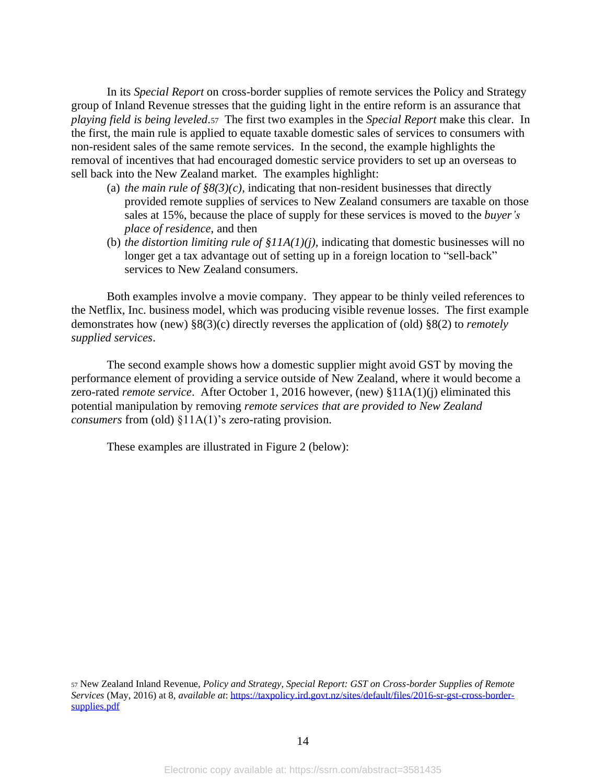In its *Special Report* on cross-border supplies of remote services the Policy and Strategy group of Inland Revenue stresses that the guiding light in the entire reform is an assurance that *playing field is being leveled*.57 The first two examples in the *Special Report* make this clear. In the first, the main rule is applied to equate taxable domestic sales of services to consumers with non-resident sales of the same remote services. In the second, the example highlights the removal of incentives that had encouraged domestic service providers to set up an overseas to sell back into the New Zealand market. The examples highlight:

- (a) *the main rule of*  $\frac{8}{8}(3)(c)$ , indicating that non-resident businesses that directly provided remote supplies of services to New Zealand consumers are taxable on those sales at 15%, because the place of supply for these services is moved to the *buyer's place of residence*, and then
- (b) *the distortion limiting rule of §11A(1)(j),* indicating that domestic businesses will no longer get a tax advantage out of setting up in a foreign location to "sell-back" services to New Zealand consumers.

Both examples involve a movie company. They appear to be thinly veiled references to the Netflix, Inc. business model, which was producing visible revenue losses. The first example demonstrates how (new) §8(3)(c) directly reverses the application of (old) §8(2) to *remotely supplied services*.

The second example shows how a domestic supplier might avoid GST by moving the performance element of providing a service outside of New Zealand, where it would become a zero-rated *remote service*. After October 1, 2016 however, (new) §11A(1)(j) eliminated this potential manipulation by removing *remote services that are provided to New Zealand consumers* from (old) §11A(1)'s zero-rating provision.

These examples are illustrated in Figure 2 (below):

<sup>57</sup> New Zealand Inland Revenue, *Policy and Strategy, Special Report: GST on Cross-border Supplies of Remote Services* (May, 2016) at 8, *available at*: [https://taxpolicy.ird.govt.nz/sites/default/files/2016-sr-gst-cross-border](https://taxpolicy.ird.govt.nz/sites/default/files/2016-sr-gst-cross-border-supplies.pdf)[supplies.pdf](https://taxpolicy.ird.govt.nz/sites/default/files/2016-sr-gst-cross-border-supplies.pdf)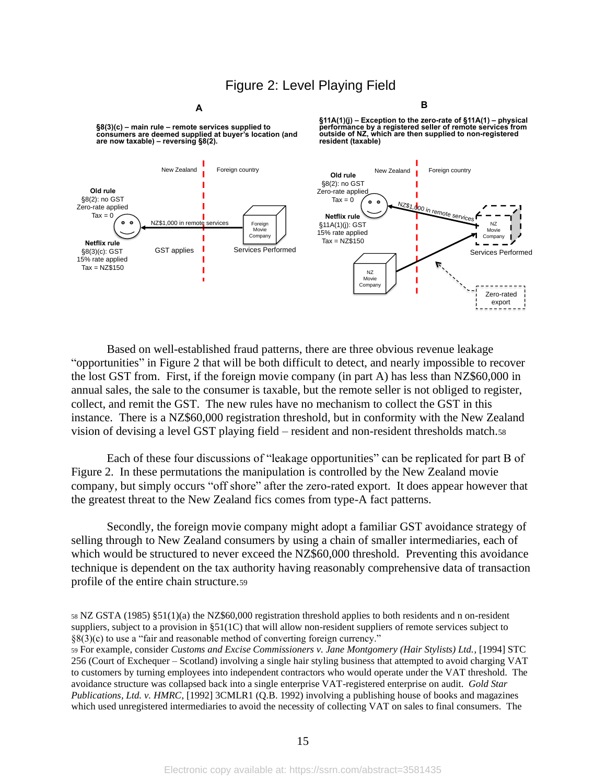# Figure 2: Level Playing Field

**§8(3)(c) – main rule – remote services supplied to consumers are deemed supplied at buyer's location (and are now taxable) – reversing §8(2).**

**§11A(1)(j) – Exception to the zero-rate of §11A(1) – physical** performance by a registered seller of remote services from<br>outside of NZ, which are then supplied to non-registered **resident (taxable)** 

**B** 



Based on well-established fraud patterns, there are three obvious revenue leakage "opportunities" in Figure 2 that will be both difficult to detect, and nearly impossible to recover the lost GST from. First, if the foreign movie company (in part A) has less than NZ\$60,000 in annual sales, the sale to the consumer is taxable, but the remote seller is not obliged to register, collect, and remit the GST. The new rules have no mechanism to collect the GST in this instance. There is a NZ\$60,000 registration threshold, but in conformity with the New Zealand vision of devising a level GST playing field – resident and non-resident thresholds match.<sup>58</sup>

Each of these four discussions of "leakage opportunities" can be replicated for part B of Figure 2. In these permutations the manipulation is controlled by the New Zealand movie company, but simply occurs "off shore" after the zero-rated export. It does appear however that the greatest threat to the New Zealand fics comes from type-A fact patterns.

Secondly, the foreign movie company might adopt a familiar GST avoidance strategy of selling through to New Zealand consumers by using a chain of smaller intermediaries, each of which would be structured to never exceed the NZ\$60,000 threshold. Preventing this avoidance technique is dependent on the tax authority having reasonably comprehensive data of transaction profile of the entire chain structure.<sup>59</sup>

<sup>58</sup> NZ GSTA (1985) §51(1)(a) the NZ\$60,000 registration threshold applies to both residents and n on-resident suppliers, subject to a provision in §51(1C) that will allow non-resident suppliers of remote services subject to §8(3)(c) to use a "fair and reasonable method of converting foreign currency."

<sup>59</sup> For example, consider *Customs and Excise Commissioners v. Jane Montgomery (Hair Stylists) Ltd.*, [1994] STC 256 (Court of Exchequer – Scotland) involving a single hair styling business that attempted to avoid charging VAT to customers by turning employees into independent contractors who would operate under the VAT threshold. The avoidance structure was collapsed back into a single enterprise VAT-registered enterprise on audit. *Gold Star Publications, Ltd. v. HMRC*, [1992] 3CMLR1 (Q.B. 1992) involving a publishing house of books and magazines which used unregistered intermediaries to avoid the necessity of collecting VAT on sales to final consumers. The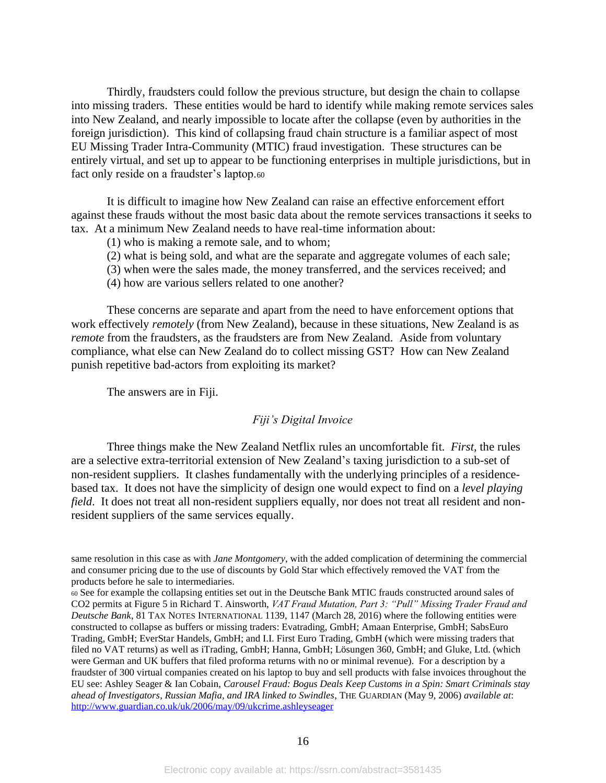Thirdly, fraudsters could follow the previous structure, but design the chain to collapse into missing traders. These entities would be hard to identify while making remote services sales into New Zealand, and nearly impossible to locate after the collapse (even by authorities in the foreign jurisdiction). This kind of collapsing fraud chain structure is a familiar aspect of most EU Missing Trader Intra-Community (MTIC) fraud investigation. These structures can be entirely virtual, and set up to appear to be functioning enterprises in multiple jurisdictions, but in fact only reside on a fraudster's laptop.60

It is difficult to imagine how New Zealand can raise an effective enforcement effort against these frauds without the most basic data about the remote services transactions it seeks to tax. At a minimum New Zealand needs to have real-time information about:

- (1) who is making a remote sale, and to whom;
- (2) what is being sold, and what are the separate and aggregate volumes of each sale;
- (3) when were the sales made, the money transferred, and the services received; and
- (4) how are various sellers related to one another?

These concerns are separate and apart from the need to have enforcement options that work effectively *remotely* (from New Zealand), because in these situations, New Zealand is as *remote* from the fraudsters, as the fraudsters are from New Zealand. Aside from voluntary compliance, what else can New Zealand do to collect missing GST? How can New Zealand punish repetitive bad-actors from exploiting its market?

The answers are in Fiji.

#### *Fiji's Digital Invoice*

Three things make the New Zealand Netflix rules an uncomfortable fit. *First*, the rules are a selective extra-territorial extension of New Zealand's taxing jurisdiction to a sub-set of non-resident suppliers. It clashes fundamentally with the underlying principles of a residencebased tax. It does not have the simplicity of design one would expect to find on a *level playing field*. It does not treat all non-resident suppliers equally, nor does not treat all resident and nonresident suppliers of the same services equally.

same resolution in this case as with *Jane Montgomery*, with the added complication of determining the commercial and consumer pricing due to the use of discounts by Gold Star which effectively removed the VAT from the products before he sale to intermediaries.

<sup>60</sup> See for example the collapsing entities set out in the Deutsche Bank MTIC frauds constructed around sales of CO2 permits at Figure 5 in Richard T. Ainsworth, *VAT Fraud Mutation, Part 3: "Pull" Missing Trader Fraud and Deutsche Bank*, 81 TAX NOTES INTERNATIONAL 1139, 1147 (March 28, 2016) where the following entities were constructed to collapse as buffers or missing traders: Evatrading, GmbH; Amaan Enterprise, GmbH; SabsEuro Trading, GmbH; EverStar Handels, GmbH; and I.I. First Euro Trading, GmbH (which were missing traders that filed no VAT returns) as well as iTrading, GmbH; Hanna, GmbH; Lösungen 360, GmbH; and Gluke, Ltd. (which were German and UK buffers that filed proforma returns with no or minimal revenue). For a description by a fraudster of 300 virtual companies created on his laptop to buy and sell products with false invoices throughout the EU see: Ashley Seager & Ian Cobain, *Carousel Fraud: Bogus Deals Keep Customs in a Spin: Smart Criminals stay ahead of Investigators, Russian Mafia, and IRA linked to Swindles*, THE GUARDIAN (May 9, 2006) *available at*: <http://www.guardian.co.uk/uk/2006/may/09/ukcrime.ashleyseager>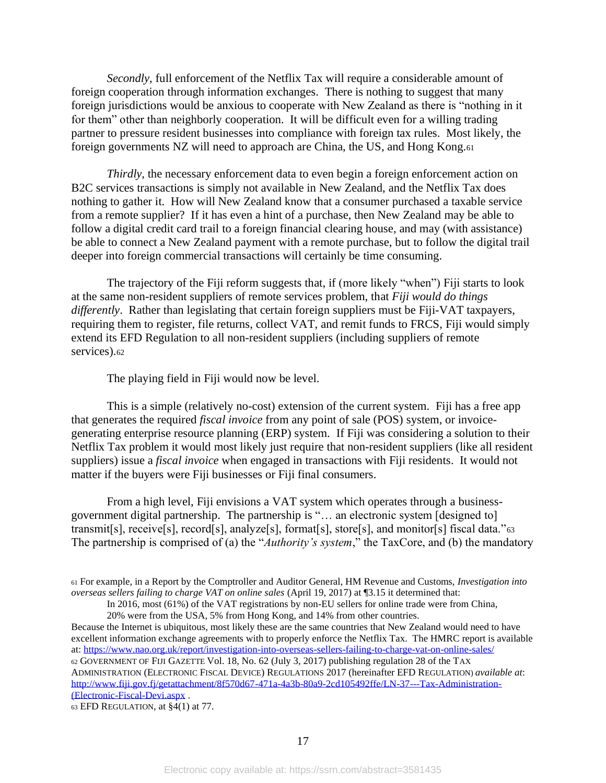*Secondly*, full enforcement of the Netflix Tax will require a considerable amount of foreign cooperation through information exchanges. There is nothing to suggest that many foreign jurisdictions would be anxious to cooperate with New Zealand as there is "nothing in it for them" other than neighborly cooperation. It will be difficult even for a willing trading partner to pressure resident businesses into compliance with foreign tax rules. Most likely, the foreign governments NZ will need to approach are China, the US, and Hong Kong.<sup>61</sup>

*Thirdly*, the necessary enforcement data to even begin a foreign enforcement action on B2C services transactions is simply not available in New Zealand, and the Netflix Tax does nothing to gather it. How will New Zealand know that a consumer purchased a taxable service from a remote supplier? If it has even a hint of a purchase, then New Zealand may be able to follow a digital credit card trail to a foreign financial clearing house, and may (with assistance) be able to connect a New Zealand payment with a remote purchase, but to follow the digital trail deeper into foreign commercial transactions will certainly be time consuming.

The trajectory of the Fiji reform suggests that, if (more likely "when") Fiji starts to look at the same non-resident suppliers of remote services problem, that *Fiji would do things differently*. Rather than legislating that certain foreign suppliers must be Fiji-VAT taxpayers, requiring them to register, file returns, collect VAT, and remit funds to FRCS, Fiji would simply extend its EFD Regulation to all non-resident suppliers (including suppliers of remote services).<sup>62</sup>

The playing field in Fiji would now be level.

This is a simple (relatively no-cost) extension of the current system. Fiji has a free app that generates the required *fiscal invoice* from any point of sale (POS) system, or invoicegenerating enterprise resource planning (ERP) system. If Fiji was considering a solution to their Netflix Tax problem it would most likely just require that non-resident suppliers (like all resident suppliers) issue a *fiscal invoice* when engaged in transactions with Fiji residents. It would not matter if the buyers were Fiji businesses or Fiji final consumers.

From a high level, Fiji envisions a VAT system which operates through a businessgovernment digital partnership. The partnership is "… an electronic system [designed to] transmit[s], receive[s], record[s], analyze[s], format[s], store[s], and monitor[s] fiscal data."<sup>63</sup> The partnership is comprised of (a) the "*Authority's system*," the TaxCore, and (b) the mandatory

Because the Internet is ubiquitous, most likely these are the same countries that New Zealand would need to have excellent information exchange agreements with to properly enforce the Netflix Tax. The HMRC report is available at[: https://www.nao.org.uk/report/investigation-into-overseas-sellers-failing-to-charge-vat-on-online-sales/](https://www.nao.org.uk/report/investigation-into-overseas-sellers-failing-to-charge-vat-on-online-sales/) <sup>62</sup> GOVERNMENT OF FIJI GAZETTE Vol. 18, No. 62 (July 3, 2017) publishing regulation 28 of the TAX ADMINISTRATION (ELECTRONIC FISCAL DEVICE) REGULATIONS 2017 (hereinafter EFD REGULATION) *available at*: [http://www.fiji.gov.fj/getattachment/8f570d67-471a-4a3b-80a9-2cd105492ffe/LN-37---Tax-Administration-](http://www.fiji.gov.fj/getattachment/8f570d67-471a-4a3b-80a9-2cd105492ffe/LN-37---Tax-Administration-(Electronic-Fiscal-Devi.aspx) [\(Electronic-Fiscal-Devi.aspx](http://www.fiji.gov.fj/getattachment/8f570d67-471a-4a3b-80a9-2cd105492ffe/LN-37---Tax-Administration-(Electronic-Fiscal-Devi.aspx) .

63 EFD REGULATION, at  $\frac{24}{1}$  at 77.

<sup>61</sup> For example, in a Report by the Comptroller and Auditor General, HM Revenue and Customs, *Investigation into overseas sellers failing to charge VAT on online sales* (April 19, 2017) at ¶3.15 it determined that:

In 2016, most (61%) of the VAT registrations by non-EU sellers for online trade were from China, 20% were from the USA, 5% from Hong Kong, and 14% from other countries.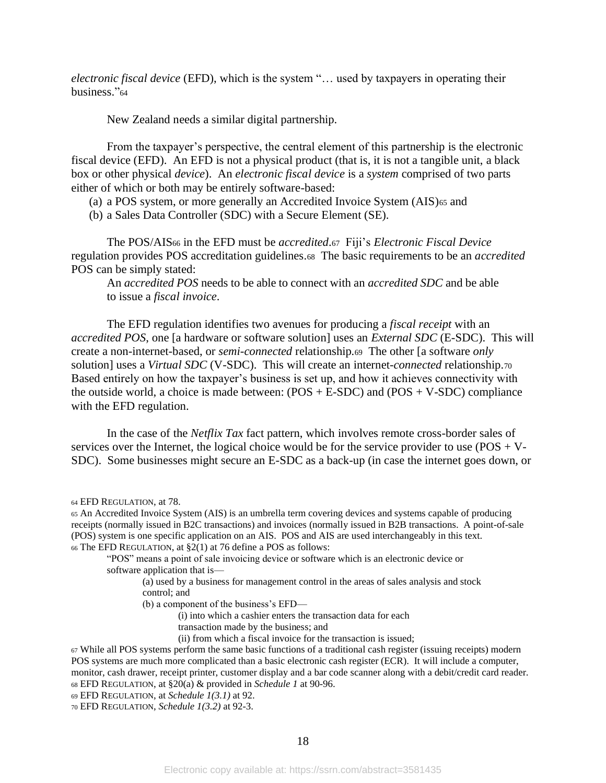*electronic fiscal device* (EFD), which is the system "… used by taxpayers in operating their business."<sup>64</sup>

New Zealand needs a similar digital partnership.

From the taxpayer's perspective, the central element of this partnership is the electronic fiscal device (EFD). An EFD is not a physical product (that is, it is not a tangible unit, a black box or other physical *device*). An *electronic fiscal device* is a *system* comprised of two parts either of which or both may be entirely software-based:

- (a) a POS system, or more generally an Accredited Invoice System (AIS)<sup>65</sup> and
- (b) a Sales Data Controller (SDC) with a Secure Element (SE).

The POS/AIS<sup>66</sup> in the EFD must be *accredited*.67 Fiji's *Electronic Fiscal Device* regulation provides POS accreditation guidelines.68 The basic requirements to be an *accredited* POS can be simply stated:

An *accredited POS* needs to be able to connect with an *accredited SDC* and be able to issue a *fiscal invoice*.

The EFD regulation identifies two avenues for producing a *fiscal receipt* with an *accredited POS*, one [a hardware or software solution] uses an *External SDC* (E-SDC). This will create a non-internet-based, or *semi-connected* relationship*.*69 The other [a software *only* solution] uses a *Virtual SDC* (V-SDC). This will create an internet-*connected* relationship.<sup>70</sup> Based entirely on how the taxpayer's business is set up, and how it achieves connectivity with the outside world, a choice is made between:  $(POS + E-SDC)$  and  $(POS + V-SDC)$  compliance with the EFD regulation.

In the case of the *Netflix Tax* fact pattern, which involves remote cross-border sales of services over the Internet, the logical choice would be for the service provider to use (POS + V-SDC). Some businesses might secure an E-SDC as a back-up (in case the internet goes down, or

(a) used by a business for management control in the areas of sales analysis and stock control; and

(b) a component of the business's EFD—

(i) into which a cashier enters the transaction data for each

- transaction made by the business; and
- (ii) from which a fiscal invoice for the transaction is issued;
- <sup>67</sup> While all POS systems perform the same basic functions of a traditional cash register (issuing receipts) modern POS systems are much more complicated than a basic electronic cash register (ECR). It will include a computer, monitor, cash drawer, receipt printer, customer display and a bar code scanner along with a debit/credit card reader. <sup>68</sup> EFD REGULATION, at §20(a) & provided in *Schedule 1* at 90-96.
- <sup>69</sup> EFD REGULATION, at *Schedule 1(3.1)* at 92.

<sup>70</sup> EFD REGULATION, *Schedule 1(3.2)* at 92-3.

<sup>64</sup> EFD REGULATION, at 78.

<sup>65</sup> An Accredited Invoice System (AIS) is an umbrella term covering devices and systems capable of producing receipts (normally issued in B2C transactions) and invoices (normally issued in B2B transactions. A point-of-sale (POS) system is one specific application on an AIS. POS and AIS are used interchangeably in this text. <sup>66</sup> The EFD REGULATION, at §2(1) at 76 define a POS as follows:

<sup>&</sup>quot;POS" means a point of sale invoicing device or software which is an electronic device or software application that is—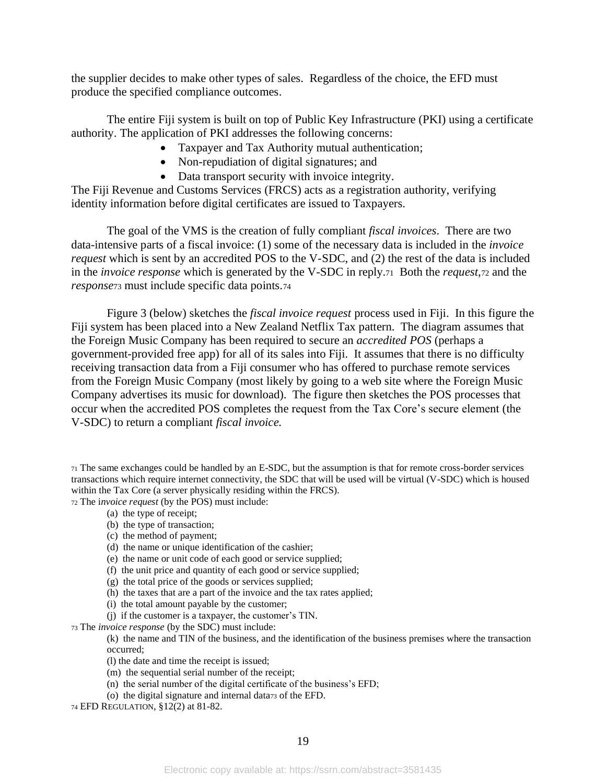the supplier decides to make other types of sales. Regardless of the choice, the EFD must produce the specified compliance outcomes.

The entire Fiji system is built on top of Public Key Infrastructure (PKI) using a certificate authority. The application of PKI addresses the following concerns:

- Taxpayer and Tax Authority mutual authentication;
- Non-repudiation of digital signatures; and
- Data transport security with invoice integrity.

The Fiji Revenue and Customs Services (FRCS) acts as a registration authority, verifying identity information before digital certificates are issued to Taxpayers.

The goal of the VMS is the creation of fully compliant *fiscal invoices*. There are two data-intensive parts of a fiscal invoice: (1) some of the necessary data is included in the *invoice request* which is sent by an accredited POS to the V-SDC, and (2) the rest of the data is included in the *invoice response* which is generated by the V-SDC in reply.71 Both the *request*,<sup>72</sup> and the *response*<sup>73</sup> must include specific data points.<sup>74</sup>

Figure 3 (below) sketches the *fiscal invoice request* process used in Fiji. In this figure the Fiji system has been placed into a New Zealand Netflix Tax pattern. The diagram assumes that the Foreign Music Company has been required to secure an *accredited POS* (perhaps a government-provided free app) for all of its sales into Fiji. It assumes that there is no difficulty receiving transaction data from a Fiji consumer who has offered to purchase remote services from the Foreign Music Company (most likely by going to a web site where the Foreign Music Company advertises its music for download). The figure then sketches the POS processes that occur when the accredited POS completes the request from the Tax Core's secure element (the V-SDC) to return a compliant *fiscal invoice.*

<sup>71</sup> The same exchanges could be handled by an E-SDC, but the assumption is that for remote cross-border services transactions which require internet connectivity, the SDC that will be used will be virtual (V-SDC) which is housed within the Tax Core (a server physically residing within the FRCS). <sup>72</sup> The i*nvoice request* (by the POS) must include:

- (a) the type of receipt;
- (b) the type of transaction;
- (c) the method of payment;
- (d) the name or unique identification of the cashier;
- (e) the name or unit code of each good or service supplied;
- (f) the unit price and quantity of each good or service supplied;
- (g) the total price of the goods or services supplied;
- (h) the taxes that are a part of the invoice and the tax rates applied;
- (i) the total amount payable by the customer;
- (j) if the customer is a taxpayer, the customer's TIN.

<sup>73</sup> The *invoice response* (by the SDC) must include:

(k) the name and TIN of the business, and the identification of the business premises where the transaction occurred;

- (l) the date and time the receipt is issued;
- (m) the sequential serial number of the receipt;
- (n) the serial number of the digital certificate of the business's EFD;
- (o) the digital signature and internal data<sup>73</sup> of the EFD.
- <sup>74</sup> EFD REGULATION, §12(2) at 81-82.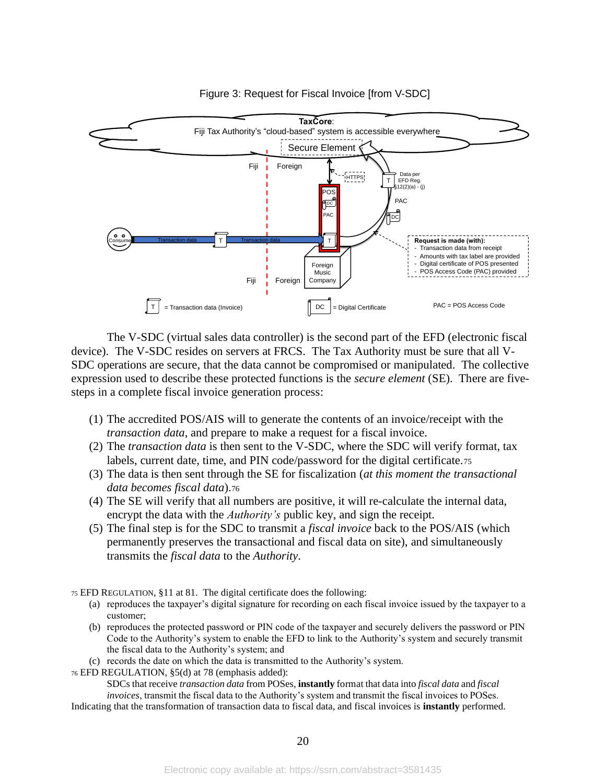

Figure 3: Request for Fiscal Invoice [from V-SDC]

The V-SDC (virtual sales data controller) is the second part of the EFD (electronic fiscal device). The V-SDC resides on servers at FRCS. The Tax Authority must be sure that all V-SDC operations are secure, that the data cannot be compromised or manipulated. The collective expression used to describe these protected functions is the *secure element* (SE). There are fivesteps in a complete fiscal invoice generation process:

- (1) The accredited POS/AIS will to generate the contents of an invoice/receipt with the *transaction data*, and prepare to make a request for a fiscal invoice*.*
- (2) The *transaction data* is then sent to the V-SDC, where the SDC will verify format, tax labels, current date, time, and PIN code/password for the digital certificate.<sup>75</sup>
- (3) The data is then sent through the SE for fiscalization (*at this moment the transactional data becomes fiscal data*).<sup>76</sup>
- (4) The SE will verify that all numbers are positive, it will re-calculate the internal data, encrypt the data with the *Authority's* public key, and sign the receipt.
- (5) The final step is for the SDC to transmit a *fiscal invoice* back to the POS/AIS (which permanently preserves the transactional and fiscal data on site), and simultaneously transmits the *fiscal data* to the *Authority*.

<sup>75</sup> EFD REGULATION, §11 at 81. The digital certificate does the following:

- (a) reproduces the taxpayer's digital signature for recording on each fiscal invoice issued by the taxpayer to a customer;
- (b) reproduces the protected password or PIN code of the taxpayer and securely delivers the password or PIN Code to the Authority's system to enable the EFD to link to the Authority's system and securely transmit the fiscal data to the Authority's system; and
- (c) records the date on which the data is transmitted to the Authority's system.

<sup>76</sup> EFD REGULATION, §5(d) at 78 (emphasis added):

SDCs that receive *transaction data* from POSes, **instantly** format that data into *fiscal data* and *fiscal invoices*, transmit the fiscal data to the Authority's system and transmit the fiscal invoices to POSes.

Indicating that the transformation of transaction data to fiscal data, and fiscal invoices is **instantly** performed.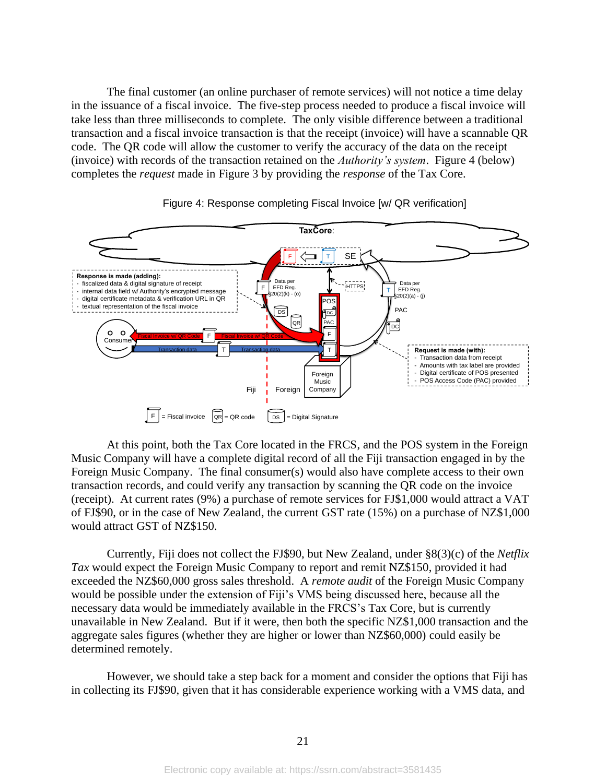The final customer (an online purchaser of remote services) will not notice a time delay in the issuance of a fiscal invoice. The five-step process needed to produce a fiscal invoice will take less than three milliseconds to complete. The only visible difference between a traditional transaction and a fiscal invoice transaction is that the receipt (invoice) will have a scannable QR code. The QR code will allow the customer to verify the accuracy of the data on the receipt (invoice) with records of the transaction retained on the *Authority's system*. Figure 4 (below) completes the *request* made in Figure 3 by providing the *response* of the Tax Core.





At this point, both the Tax Core located in the FRCS, and the POS system in the Foreign Music Company will have a complete digital record of all the Fiji transaction engaged in by the Foreign Music Company. The final consumer(s) would also have complete access to their own transaction records, and could verify any transaction by scanning the QR code on the invoice (receipt). At current rates (9%) a purchase of remote services for FJ\$1,000 would attract a VAT of FJ\$90, or in the case of New Zealand, the current GST rate (15%) on a purchase of NZ\$1,000 would attract GST of NZ\$150.

Currently, Fiji does not collect the FJ\$90, but New Zealand, under §8(3)(c) of the *Netflix Tax* would expect the Foreign Music Company to report and remit NZ\$150, provided it had exceeded the NZ\$60,000 gross sales threshold. A *remote audit* of the Foreign Music Company would be possible under the extension of Fiji's VMS being discussed here, because all the necessary data would be immediately available in the FRCS's Tax Core, but is currently unavailable in New Zealand. But if it were, then both the specific NZ\$1,000 transaction and the aggregate sales figures (whether they are higher or lower than NZ\$60,000) could easily be determined remotely.

However, we should take a step back for a moment and consider the options that Fiji has in collecting its FJ\$90, given that it has considerable experience working with a VMS data, and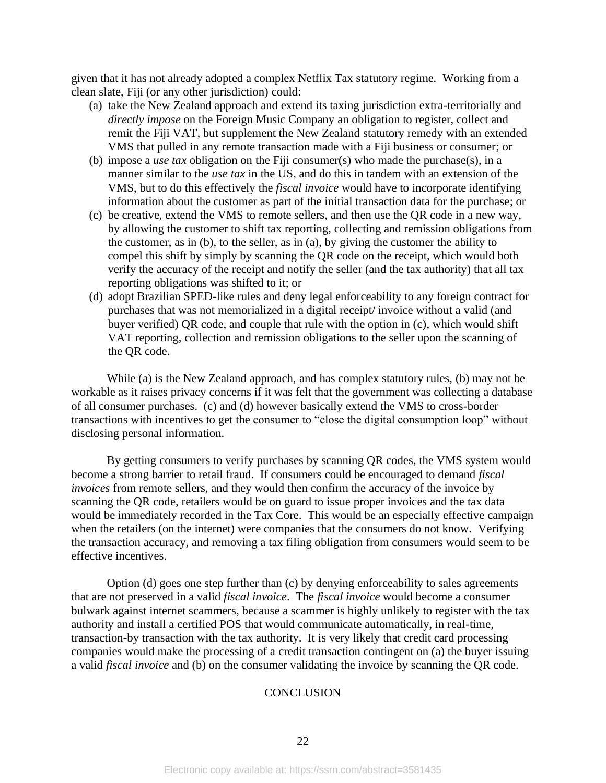given that it has not already adopted a complex Netflix Tax statutory regime. Working from a clean slate, Fiji (or any other jurisdiction) could:

- (a) take the New Zealand approach and extend its taxing jurisdiction extra-territorially and *directly impose* on the Foreign Music Company an obligation to register, collect and remit the Fiji VAT, but supplement the New Zealand statutory remedy with an extended VMS that pulled in any remote transaction made with a Fiji business or consumer; or
- (b) impose a *use tax* obligation on the Fiji consumer(s) who made the purchase(s), in a manner similar to the *use tax* in the US, and do this in tandem with an extension of the VMS, but to do this effectively the *fiscal invoice* would have to incorporate identifying information about the customer as part of the initial transaction data for the purchase; or
- (c) be creative, extend the VMS to remote sellers, and then use the QR code in a new way, by allowing the customer to shift tax reporting, collecting and remission obligations from the customer, as in (b), to the seller, as in (a), by giving the customer the ability to compel this shift by simply by scanning the QR code on the receipt, which would both verify the accuracy of the receipt and notify the seller (and the tax authority) that all tax reporting obligations was shifted to it; or
- (d) adopt Brazilian SPED-like rules and deny legal enforceability to any foreign contract for purchases that was not memorialized in a digital receipt/ invoice without a valid (and buyer verified) QR code, and couple that rule with the option in (c), which would shift VAT reporting, collection and remission obligations to the seller upon the scanning of the QR code.

While (a) is the New Zealand approach, and has complex statutory rules, (b) may not be workable as it raises privacy concerns if it was felt that the government was collecting a database of all consumer purchases. (c) and (d) however basically extend the VMS to cross-border transactions with incentives to get the consumer to "close the digital consumption loop" without disclosing personal information.

By getting consumers to verify purchases by scanning QR codes, the VMS system would become a strong barrier to retail fraud. If consumers could be encouraged to demand *fiscal invoices* from remote sellers, and they would then confirm the accuracy of the invoice by scanning the QR code, retailers would be on guard to issue proper invoices and the tax data would be immediately recorded in the Tax Core. This would be an especially effective campaign when the retailers (on the internet) were companies that the consumers do not know. Verifying the transaction accuracy, and removing a tax filing obligation from consumers would seem to be effective incentives.

Option (d) goes one step further than (c) by denying enforceability to sales agreements that are not preserved in a valid *fiscal invoice*. The *fiscal invoice* would become a consumer bulwark against internet scammers, because a scammer is highly unlikely to register with the tax authority and install a certified POS that would communicate automatically, in real-time, transaction-by transaction with the tax authority. It is very likely that credit card processing companies would make the processing of a credit transaction contingent on (a) the buyer issuing a valid *fiscal invoice* and (b) on the consumer validating the invoice by scanning the QR code.

## **CONCLUSION**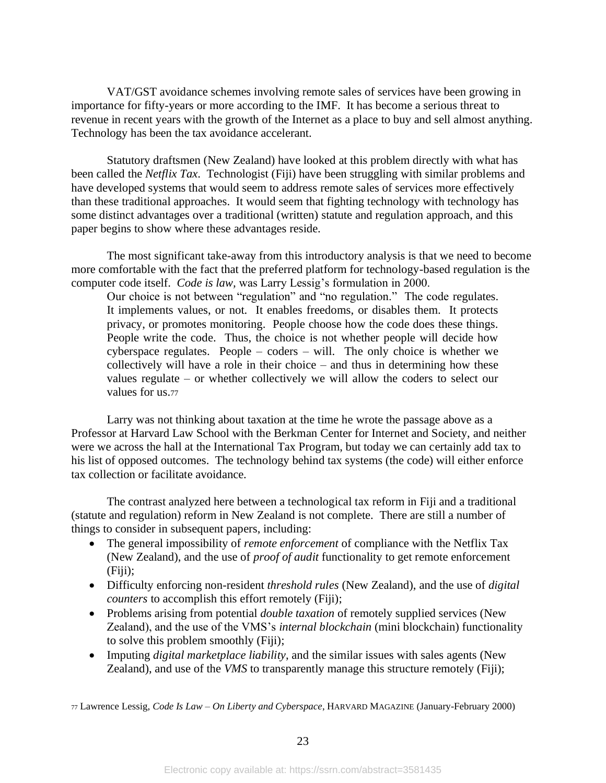VAT/GST avoidance schemes involving remote sales of services have been growing in importance for fifty-years or more according to the IMF. It has become a serious threat to revenue in recent years with the growth of the Internet as a place to buy and sell almost anything. Technology has been the tax avoidance accelerant.

Statutory draftsmen (New Zealand) have looked at this problem directly with what has been called the *Netflix Tax*. Technologist (Fiji) have been struggling with similar problems and have developed systems that would seem to address remote sales of services more effectively than these traditional approaches. It would seem that fighting technology with technology has some distinct advantages over a traditional (written) statute and regulation approach, and this paper begins to show where these advantages reside.

The most significant take-away from this introductory analysis is that we need to become more comfortable with the fact that the preferred platform for technology-based regulation is the computer code itself. *Code is law,* was Larry Lessig's formulation in 2000.

Our choice is not between "regulation" and "no regulation." The code regulates. It implements values, or not. It enables freedoms, or disables them. It protects privacy, or promotes monitoring. People choose how the code does these things. People write the code. Thus, the choice is not whether people will decide how cyberspace regulates. People – coders – will. The only choice is whether we collectively will have a role in their choice – and thus in determining how these values regulate – or whether collectively we will allow the coders to select our values for us.<sup>77</sup>

Larry was not thinking about taxation at the time he wrote the passage above as a Professor at Harvard Law School with the Berkman Center for Internet and Society, and neither were we across the hall at the International Tax Program, but today we can certainly add tax to his list of opposed outcomes. The technology behind tax systems (the code) will either enforce tax collection or facilitate avoidance.

The contrast analyzed here between a technological tax reform in Fiji and a traditional (statute and regulation) reform in New Zealand is not complete. There are still a number of things to consider in subsequent papers, including:

- The general impossibility of *remote enforcement* of compliance with the Netflix Tax (New Zealand), and the use of *proof of audit* functionality to get remote enforcement (Fiji);
- Difficulty enforcing non-resident *threshold rules* (New Zealand), and the use of *digital counters* to accomplish this effort remotely (Fiji);
- Problems arising from potential *double taxation* of remotely supplied services (New Zealand), and the use of the VMS's *internal blockchain* (mini blockchain) functionality to solve this problem smoothly (Fiji);
- Imputing *digital marketplace liability*, and the similar issues with sales agents (New Zealand), and use of the *VMS* to transparently manage this structure remotely (Fiji);

<sup>77</sup> Lawrence Lessig, *Code Is Law – On Liberty and Cyberspace*, HARVARD MAGAZINE (January-February 2000)